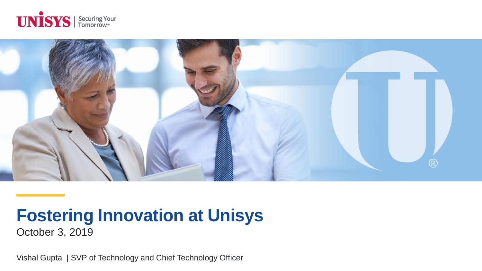



# **Fostering Innovation at Unisys**

October 3, 2019

Vishal Gupta | SVP of Technology and Chief Technology Officer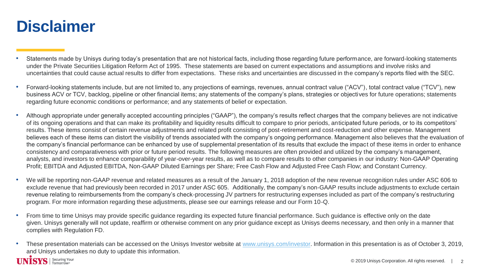## **Disclaimer**

- Statements made by Unisys during today's presentation that are not historical facts, including those regarding future performance, are forward-looking statements under the Private Securities Litigation Reform Act of 1995. These statements are based on current expectations and assumptions and involve risks and uncertainties that could cause actual results to differ from expectations. These risks and uncertainties are discussed in the company's reports filed with the SEC.
- Forward-looking statements include, but are not limited to, any projections of earnings, revenues, annual contract value ("ACV"), total contract value ("TCV"), new business ACV or TCV, backlog, pipeline or other financial items; any statements of the company's plans, strategies or objectives for future operations; statements regarding future economic conditions or performance; and any statements of belief or expectation.
- Although appropriate under generally accepted accounting principles ("GAAP"), the company's results reflect charges that the company believes are not indicative of its ongoing operations and that can make its profitability and liquidity results difficult to compare to prior periods, anticipated future periods, or to its competitors' results. These items consist of certain revenue adjustments and related profit consisting of post-retirement and cost-reduction and other expense. Management believes each of these items can distort the visibility of trends associated with the company's ongoing performance. Management also believes that the evaluation of the company's financial performance can be enhanced by use of supplemental presentation of its results that exclude the impact of these items in order to enhance consistency and comparativeness with prior or future period results. The following measures are often provided and utilized by the company's management, analysts, and investors to enhance comparability of year-over-year results, as well as to compare results to other companies in our industry: Non-GAAP Operating Profit; EBITDA and Adjusted EBITDA, Non-GAAP Diluted Earnings per Share; Free Cash Flow and Adjusted Free Cash Flow; and Constant Currency.
- We will be reporting non-GAAP revenue and related measures as a result of the January 1, 2018 adoption of the new revenue recognition rules under ASC 606 to exclude revenue that had previously been recorded in 2017 under ASC 605. Additionally, the company's non-GAAP results include adjustments to exclude certain revenue relating to reimbursements from the company's check-processing JV partners for restructuring expenses included as part of the company's restructuring program. For more information regarding these adjustments, please see our earnings release and our Form 10-Q.
- From time to time Unisys may provide specific guidance regarding its expected future financial performance. Such guidance is effective only on the date given. Unisys generally will not update, reaffirm or otherwise comment on any prior guidance except as Unisys deems necessary, and then only in a manner that complies with Regulation FD.
- These presentation materials can be accessed on the Unisys Investor website at [www.unisys.com/investor.](http://www.unisys.com/investor) Information in this presentation is as of October 3, 2019, and Unisys undertakes no duty to update this information.

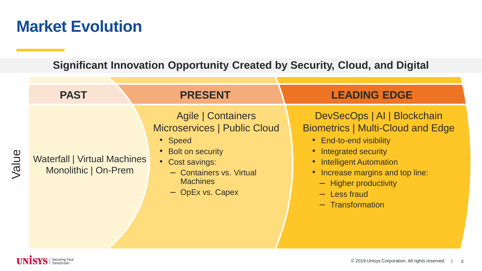## **Market Evolution**

**Significant Innovation Opportunity Created by Security, Cloud, and Digital**

| <b>PAST</b>                                                 | <b>PRESENT</b>                                                                                                                                                            | <b>LEADING EDGE</b>                                                                                                                                                                                                                                        |  |  |
|-------------------------------------------------------------|---------------------------------------------------------------------------------------------------------------------------------------------------------------------------|------------------------------------------------------------------------------------------------------------------------------------------------------------------------------------------------------------------------------------------------------------|--|--|
| <b>Waterfall   Virtual Machines</b><br>Monolithic   On-Prem | Agile   Containers<br>Microservices   Public Cloud<br>• Speed<br>• Bolt on security<br>• Cost savings:<br>- Containers vs. Virtual<br><b>Machines</b><br>- OpEx vs. Capex | DevSecOps   AI   Blockchain<br><b>Biometrics   Multi-Cloud and Edge</b><br>• End-to-end visibility<br>• Integrated security<br>• Intelligent Automation<br>• Increase margins and top line:<br>- Higher productivity<br>$-$ Less fraud<br>- Transformation |  |  |

Value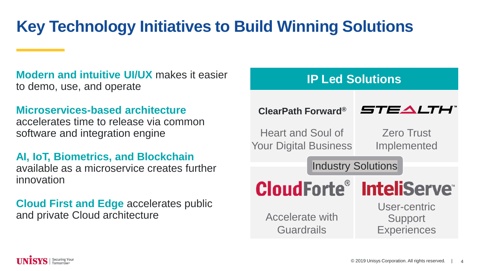## **Key Technology Initiatives to Build Winning Solutions**

**Modern and intuitive UI/UX** makes it easier to demo, use, and operate

**Microservices-based architecture** accelerates time to release via common software and integration engine

**AI, IoT, Biometrics, and Blockchain** available as a microservice creates further innovation

**Cloud First and Edge** accelerates public and private Cloud architecture



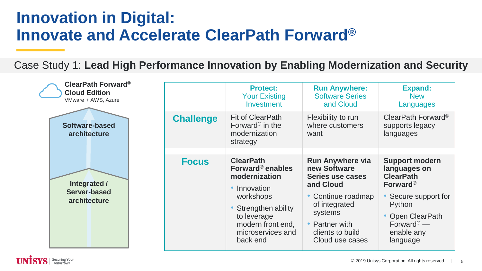## **Innovation in Digital: Innovate and Accelerate ClearPath Forward®**

Case Study 1: **Lead High Performance Innovation by Enabling Modernization and Security**

| <b>ClearPath Forward®</b><br><b>Cloud Edition</b><br>VMware + AWS, Azure |                  | <b>Protect:</b><br><b>Your Existing</b><br>Investment                                                                                                                                   | <b>Run Anywhere:</b><br><b>Software Series</b><br>and Cloud                                                                                                                         | <b>Expand:</b><br><b>New</b><br>Languages                                                                                                                                               |
|--------------------------------------------------------------------------|------------------|-----------------------------------------------------------------------------------------------------------------------------------------------------------------------------------------|-------------------------------------------------------------------------------------------------------------------------------------------------------------------------------------|-----------------------------------------------------------------------------------------------------------------------------------------------------------------------------------------|
| Software-based<br>architecture                                           | <b>Challenge</b> | Fit of ClearPath<br>Forward <sup>®</sup> in the<br>modernization<br>strategy                                                                                                            | Flexibility to run<br>where customers<br>want                                                                                                                                       | ClearPath Forward <sup>®</sup><br>supports legacy<br>languages                                                                                                                          |
| Integrated /<br>Server-based<br>architecture                             | <b>Focus</b>     | <b>ClearPath</b><br>Forward <sup>®</sup> enables<br>modernization<br>Innovation<br>workshops<br>Strengthen ability<br>to leverage<br>modern front end,<br>microservices and<br>back end | <b>Run Anywhere via</b><br>new Software<br>Series use cases<br>and Cloud<br>• Continue roadmap<br>of integrated<br>systems<br>• Partner with<br>clients to build<br>Cloud use cases | <b>Support modern</b><br>languages on<br><b>ClearPath</b><br>Forward <sup>®</sup><br>Secure support for<br>Python<br>Open ClearPath<br>Forward <sup>®</sup> —<br>enable any<br>language |

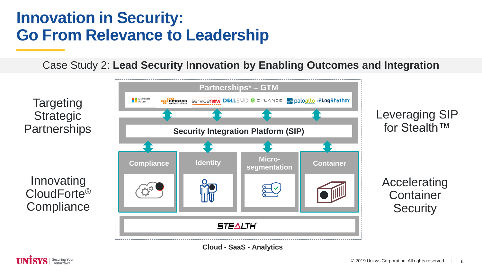## **Innovation in Security: Go From Relevance to Leadership**

Case Study 2: **Lead Security Innovation by Enabling Outcomes and Integration**



**Cloud - SaaS - Analytics**

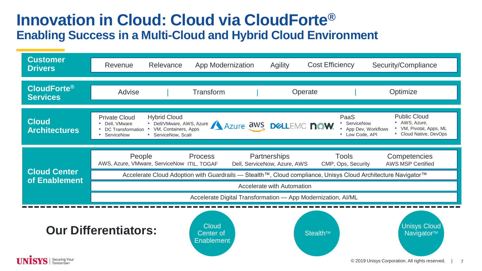### **Innovation in Cloud: Cloud via CloudForte® Enabling Success in a Multi-Cloud and Hybrid Cloud Environment**

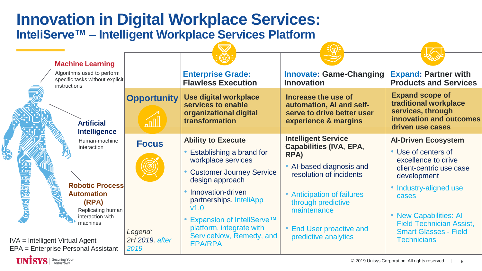### **Innovation in Digital Workplace Services: InteliServe™ – Intelligent Workplace Services Platform**

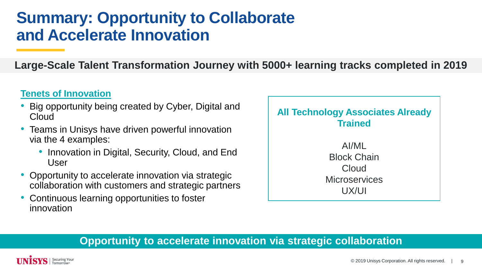## **Summary: Opportunity to Collaborate and Accelerate Innovation**

**Large-Scale Talent Transformation Journey with 5000+ learning tracks completed in 2019**

#### **Tenets of Innovation**

- Big opportunity being created by Cyber, Digital and **Cloud**
- Teams in Unisys have driven powerful innovation via the 4 examples:
	- Innovation in Digital, Security, Cloud, and End User
- Opportunity to accelerate innovation via strategic collaboration with customers and strategic partners
- Continuous learning opportunities to foster innovation



#### **Opportunity to accelerate innovation via strategic collaboration**